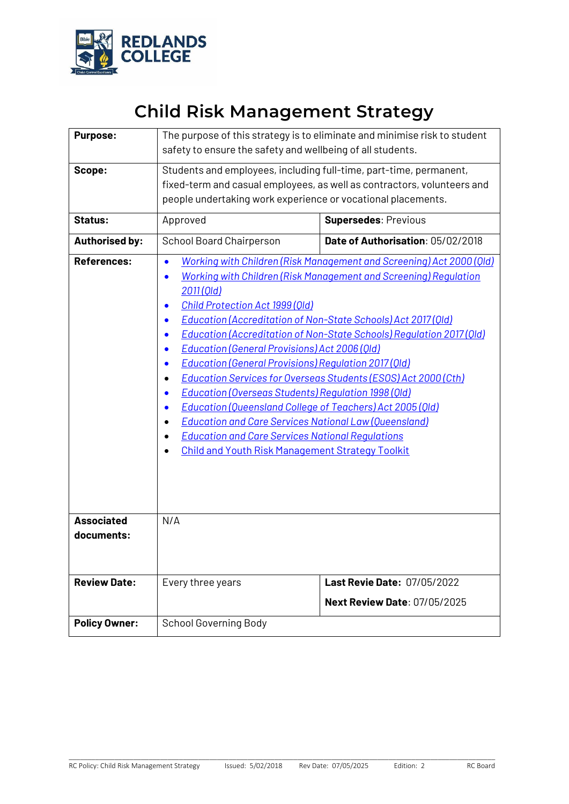

# **Child Risk Management Strategy**

| <b>Purpose:</b>                 | The purpose of this strategy is to eliminate and minimise risk to student<br>safety to ensure the safety and wellbeing of all students.                                                                                                                                                                                                                                                                                                                                                                                                                                                                                                                                                                                                                                                                                                                                                                                                                                  |                                                                    |  |  |  |
|---------------------------------|--------------------------------------------------------------------------------------------------------------------------------------------------------------------------------------------------------------------------------------------------------------------------------------------------------------------------------------------------------------------------------------------------------------------------------------------------------------------------------------------------------------------------------------------------------------------------------------------------------------------------------------------------------------------------------------------------------------------------------------------------------------------------------------------------------------------------------------------------------------------------------------------------------------------------------------------------------------------------|--------------------------------------------------------------------|--|--|--|
| Scope:                          | Students and employees, including full-time, part-time, permanent,<br>fixed-term and casual employees, as well as contractors, volunteers and<br>people undertaking work experience or vocational placements.                                                                                                                                                                                                                                                                                                                                                                                                                                                                                                                                                                                                                                                                                                                                                            |                                                                    |  |  |  |
| <b>Status:</b>                  | Approved                                                                                                                                                                                                                                                                                                                                                                                                                                                                                                                                                                                                                                                                                                                                                                                                                                                                                                                                                                 | <b>Supersedes: Previous</b>                                        |  |  |  |
| <b>Authorised by:</b>           | <b>School Board Chairperson</b>                                                                                                                                                                                                                                                                                                                                                                                                                                                                                                                                                                                                                                                                                                                                                                                                                                                                                                                                          | Date of Authorisation: 05/02/2018                                  |  |  |  |
| <b>References:</b>              | Working with Children (Risk Management and Screening) Act 2000 (Old)<br>$\bullet$<br>Working with Children (Risk Management and Screening) Regulation<br>$\bullet$<br>2011 (Old)<br><b>Child Protection Act 1999 (Old)</b><br>$\bullet$<br><b>Education (Accreditation of Non-State Schools) Act 2017 (Old)</b><br><b>Education (Accreditation of Non-State Schools) Requlation 2017 (Old)</b><br><b>Education (General Provisions) Act 2006 (Old)</b><br><b>Education (General Provisions) Requlation 2017 (Old)</b><br>$\bullet$<br><b>Education Services for Overseas Students (ESOS) Act 2000 (Cth)</b><br>Education (Overseas Students) Regulation 1998 (Old)<br>$\bullet$<br><b>Education (Queensland College of Teachers) Act 2005 (QId)</b><br>0<br><b>Education and Care Services National Law (Queensland)</b><br><b>Education and Care Services National Regulations</b><br>$\bullet$<br><b>Child and Youth Risk Management Strategy Toolkit</b><br>$\bullet$ |                                                                    |  |  |  |
| <b>Associated</b><br>documents: | N/A                                                                                                                                                                                                                                                                                                                                                                                                                                                                                                                                                                                                                                                                                                                                                                                                                                                                                                                                                                      |                                                                    |  |  |  |
| <b>Review Date:</b>             | Every three years                                                                                                                                                                                                                                                                                                                                                                                                                                                                                                                                                                                                                                                                                                                                                                                                                                                                                                                                                        | Last Revie Date: 07/05/2022<br><b>Next Review Date: 07/05/2025</b> |  |  |  |
| <b>Policy Owner:</b>            | <b>School Governing Body</b>                                                                                                                                                                                                                                                                                                                                                                                                                                                                                                                                                                                                                                                                                                                                                                                                                                                                                                                                             |                                                                    |  |  |  |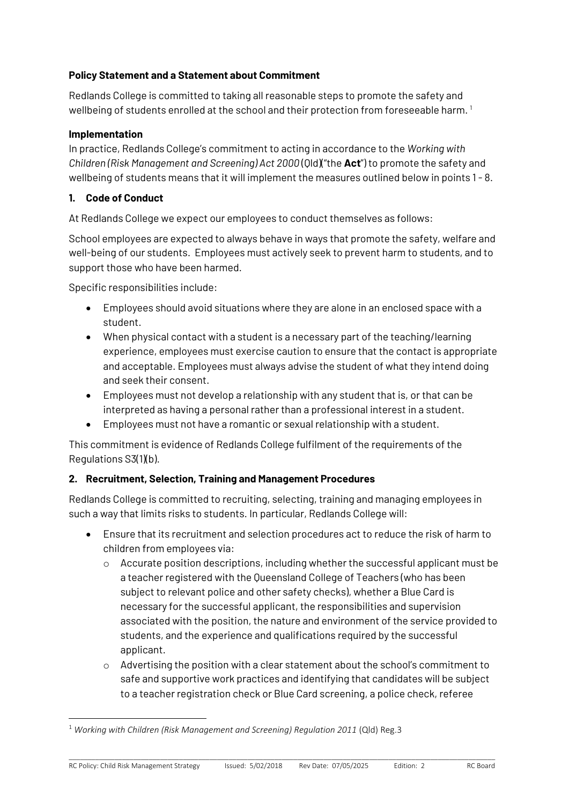#### **Policy Statement and a Statement about Commitment**

Redlands College is committed to taking all reasonable steps to promote the safety and wellbeing of students enrolled at the school and their protection from foreseeable harm. 1

#### **Implementation**

In practice, Redlands College's commitment to acting in accordance to the *Working with Children (Risk Management and Screening) Act 2000* (Qld)("the **Act**") to promote the safety and wellbeing of students means that it will implement the measures outlined below in points 1 - 8.

#### **1. Code of Conduct**

**.** 

At Redlands College we expect our employees to conduct themselves as follows:

School employees are expected to always behave in ways that promote the safety, welfare and well-being of our students. Employees must actively seek to prevent harm to students, and to support those who have been harmed.

Specific responsibilities include:

- Employees should avoid situations where they are alone in an enclosed space with a student.
- When physical contact with a student is a necessary part of the teaching/learning experience, employees must exercise caution to ensure that the contact is appropriate and acceptable. Employees must always advise the student of what they intend doing and seek their consent.
- Employees must not develop a relationship with any student that is, or that can be interpreted as having a personal rather than a professional interest in a student.
- Employees must not have a romantic or sexual relationship with a student.

This commitment is evidence of Redlands College fulfilment of the requirements of the Regulations S3(1)(b).

#### **2. Recruitment, Selection, Training and Management Procedures**

Redlands College is committed to recruiting, selecting, training and managing employees in such a way that limits risks to students. In particular, Redlands College will:

- Ensure that its recruitment and selection procedures act to reduce the risk of harm to children from employees via:
	- $\circ$  Accurate position descriptions, including whether the successful applicant must be a teacher registered with the Queensland College of Teachers (who has been subject to relevant police and other safety checks), whether a Blue Card is necessary for the successful applicant, the responsibilities and supervision associated with the position, the nature and environment of the service provided to students, and the experience and qualifications required by the successful applicant.
	- $\circ$  Advertising the position with a clear statement about the school's commitment to safe and supportive work practices and identifying that candidates will be subject to a teacher registration check or Blue Card screening, a police check, referee

<sup>&</sup>lt;sup>1</sup> Working with Children (Risk Management and Screening) Regulation 2011 (Qld) Reg.3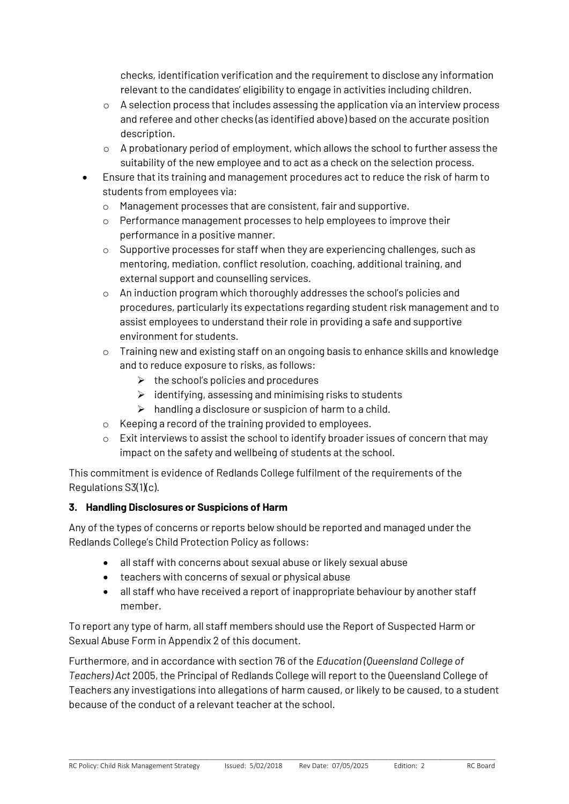checks, identification verification and the requirement to disclose any information relevant to the candidates' eligibility to engage in activities including children.

- $\circ$  A selection process that includes assessing the application via an interview process and referee and other checks (as identified above) based on the accurate position description.
- o A probationary period of employment, which allows the school to further assess the suitability of the new employee and to act as a check on the selection process.
- Ensure that its training and management procedures act to reduce the risk of harm to students from employees via:
	- o Management processes that are consistent, fair and supportive.
	- o Performance management processes to help employees to improve their performance in a positive manner.
	- o Supportive processes for staff when they are experiencing challenges, such as mentoring, mediation, conflict resolution, coaching, additional training, and external support and counselling services.
	- o An induction program which thoroughly addresses the school's policies and procedures, particularly its expectations regarding student risk management and to assist employees to understand their role in providing a safe and supportive environment for students.
	- $\circ$  Training new and existing staff on an ongoing basis to enhance skills and knowledge and to reduce exposure to risks, as follows:
		- $\triangleright$  the school's policies and procedures
		- $\triangleright$  identifying, assessing and minimising risks to students
		- $\triangleright$  handling a disclosure or suspicion of harm to a child.
	- o Keeping a record of the training provided to employees.
	- o Exit interviews to assist the school to identify broader issues of concern that may impact on the safety and wellbeing of students at the school.

This commitment is evidence of Redlands College fulfilment of the requirements of the Regulations S3(1)(c).

#### **3. Handling Disclosures or Suspicions of Harm**

Any of the types of concerns or reports below should be reported and managed under the Redlands College's Child Protection Policy as follows:

- all staff with concerns about sexual abuse or likely sexual abuse
- teachers with concerns of sexual or physical abuse
- all staff who have received a report of inappropriate behaviour by another staff member.

To report any type of harm, all staff members should use the Report of Suspected Harm or Sexual Abuse Form in Appendix 2 of this document.

Furthermore, and in accordance with section 76 of the *Education (Queensland College of Teachers) Act* 2005, the Principal of Redlands College will report to the Queensland College of Teachers any investigations into allegations of harm caused, or likely to be caused, to a student because of the conduct of a relevant teacher at the school.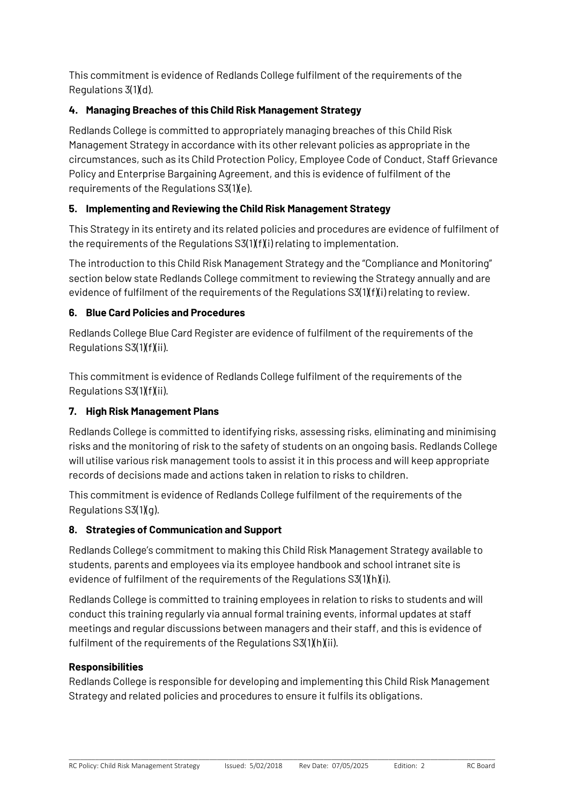This commitment is evidence of Redlands College fulfilment of the requirements of the Regulations 3(1)(d).

## **4. Managing Breaches of this Child Risk Management Strategy**

Redlands College is committed to appropriately managing breaches of this Child Risk Management Strategy in accordance with its other relevant policies as appropriate in the circumstances, such as its Child Protection Policy, Employee Code of Conduct, Staff Grievance Policy and Enterprise Bargaining Agreement, and this is evidence of fulfilment of the requirements of the Regulations S3(1)(e).

## **5. Implementing and Reviewing the Child Risk Management Strategy**

This Strategy in its entirety and its related policies and procedures are evidence of fulfilment of the requirements of the Requlations  $S3(1)(f)(i)$  relating to implementation.

The introduction to this Child Risk Management Strategy and the "Compliance and Monitoring" section below state Redlands College commitment to reviewing the Strategy annually and are evidence of fulfilment of the requirements of the Regulations  $S(1)(f(i))$  relating to review.

## **6. Blue Card Policies and Procedures**

Redlands College Blue Card Register are evidence of fulfilment of the requirements of the Regulations  $S3(1)(f)(ii)$ .

This commitment is evidence of Redlands College fulfilment of the requirements of the Regulations S3(1)(f)(ii).

## **7. High Risk Management Plans**

Redlands College is committed to identifying risks, assessing risks, eliminating and minimising risks and the monitoring of risk to the safety of students on an ongoing basis. Redlands College will utilise various risk management tools to assist it in this process and will keep appropriate records of decisions made and actions taken in relation to risks to children.

This commitment is evidence of Redlands College fulfilment of the requirements of the Regulations S3(1)(g).

## **8. Strategies of Communication and Support**

Redlands College's commitment to making this Child Risk Management Strategy available to students, parents and employees via its employee handbook and school intranet site is evidence of fulfilment of the requirements of the Regulations S3(1)(h)(i).

Redlands College is committed to training employees in relation to risks to students and will conduct this training regularly via annual formal training events, informal updates at staff meetings and regular discussions between managers and their staff, and this is evidence of fulfilment of the requirements of the Regulations S3(1)(h)(ii).

#### **Responsibilities**

Redlands College is responsible for developing and implementing this Child Risk Management Strategy and related policies and procedures to ensure it fulfils its obligations.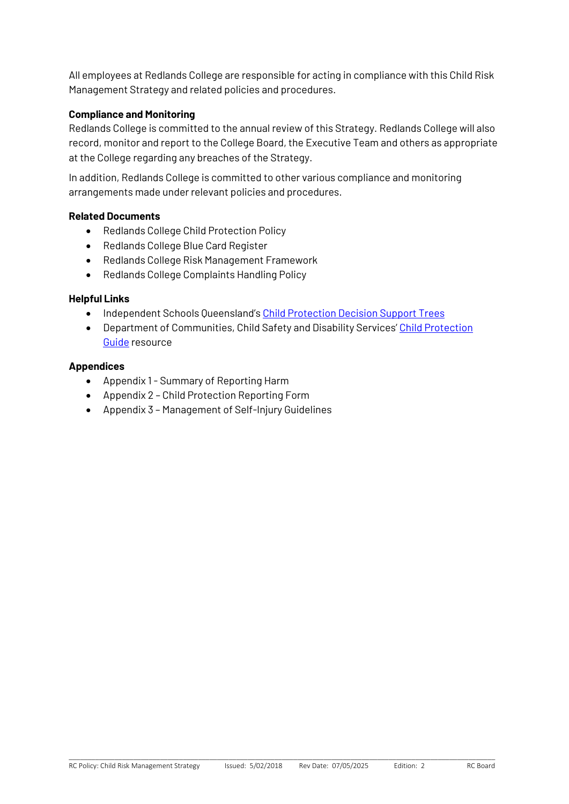All employees at Redlands College are responsible for acting in compliance with this Child Risk Management Strategy and related policies and procedures.

#### **Compliance and Monitoring**

Redlands College is committed to the annual review of this Strategy. Redlands College will also record, monitor and report to the College Board, the Executive Team and others as appropriate at the College regarding any breaches of the Strategy.

In addition, Redlands College is committed to other various compliance and monitoring arrangements made under relevant policies and procedures.

#### **Related Documents**

- Redlands College Child Protection Policy
- Redlands College Blue Card Register
- Redlands College Risk Management Framework
- Redlands College Complaints Handling Policy

#### **Helpful Links**

- Independent Schools Queensland's [Child Protection Decision Support Trees](https://www.isq.qld.edu.au/members/child-protection)
- Department of Communities, Child Safety and Disability Services' Child Protection [Guide](http://www.communities.qld.gov.au/childsafety/partners/our-government-partners/queensland-child-protection-guide/online-child-protection-guide) resource

#### **Appendices**

- Appendix 1 Summary of Reporting Harm
- Appendix 2 Child Protection Reporting Form
- Appendix 3 Management of Self-Injury Guidelines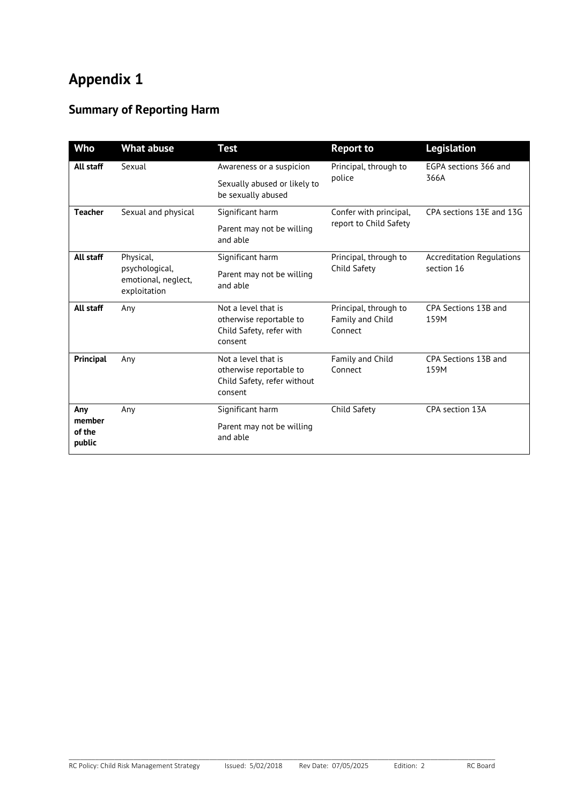# **Appendix 1**

## **Summary of Reporting Harm**

| <b>Who</b>                        | <b>What abuse</b>                                                  | <b>Test</b>                                                                              | <b>Report to</b>                                     | <b>Legislation</b>                             |  |
|-----------------------------------|--------------------------------------------------------------------|------------------------------------------------------------------------------------------|------------------------------------------------------|------------------------------------------------|--|
| All staff                         | Sexual                                                             | Awareness or a suspicion                                                                 | Principal, through to                                | EGPA sections 366 and<br>366A                  |  |
|                                   |                                                                    | Sexually abused or likely to<br>be sexually abused                                       | police                                               |                                                |  |
| <b>Teacher</b>                    | Sexual and physical                                                | Significant harm                                                                         | Confer with principal,                               | CPA sections 13E and 13G                       |  |
|                                   |                                                                    | Parent may not be willing<br>and able                                                    | report to Child Safety                               |                                                |  |
| All staff                         | Physical.<br>psychological,<br>emotional, neglect,<br>exploitation | Significant harm                                                                         | Principal, through to<br>Child Safety                | <b>Accreditation Regulations</b><br>section 16 |  |
|                                   |                                                                    | Parent may not be willing<br>and able                                                    |                                                      |                                                |  |
| All staff                         | Any                                                                | Not a level that is<br>otherwise reportable to<br>Child Safety, refer with<br>consent    | Principal, through to<br>Family and Child<br>Connect | CPA Sections 13B and<br>159M                   |  |
| Principal                         | Any                                                                | Not a level that is<br>otherwise reportable to<br>Child Safety, refer without<br>consent | Family and Child<br>Connect                          | CPA Sections 13B and<br>159M                   |  |
| Any<br>member<br>of the<br>public | Any                                                                | Significant harm                                                                         | Child Safety                                         | CPA section 13A                                |  |
|                                   |                                                                    | Parent may not be willing<br>and able                                                    |                                                      |                                                |  |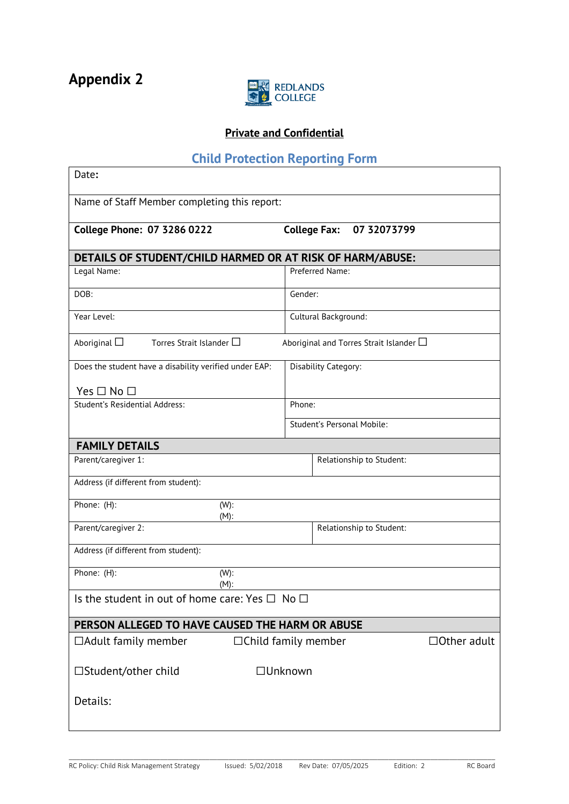

## **Private and Confidential**

## **Child Protection Reporting Form**

| Date:                                                     |                                                  |  |  |  |  |
|-----------------------------------------------------------|--------------------------------------------------|--|--|--|--|
| Name of Staff Member completing this report:              |                                                  |  |  |  |  |
| <b>College Phone: 07 3286 0222</b>                        | 07 32073799<br><b>College Fax:</b>               |  |  |  |  |
| DETAILS OF STUDENT/CHILD HARMED OR AT RISK OF HARM/ABUSE: |                                                  |  |  |  |  |
| Legal Name:                                               | Preferred Name:                                  |  |  |  |  |
| DOB:                                                      | Gender:                                          |  |  |  |  |
| Year Level:                                               | Cultural Background:                             |  |  |  |  |
| Aboriginal $\square$<br>Torres Strait Islander $\Box$     | Aboriginal and Torres Strait Islander $\Box$     |  |  |  |  |
| Does the student have a disability verified under EAP:    | Disability Category:                             |  |  |  |  |
| Yes $\Box$ No $\Box$                                      |                                                  |  |  |  |  |
| Student's Residential Address:                            | Phone:                                           |  |  |  |  |
|                                                           | Student's Personal Mobile:                       |  |  |  |  |
| <b>FAMILY DETAILS</b>                                     |                                                  |  |  |  |  |
| Parent/caregiver 1:                                       | Relationship to Student:                         |  |  |  |  |
| Address (if different from student):                      |                                                  |  |  |  |  |
| Phone: (H):<br>(W):<br>$(M)$ :                            |                                                  |  |  |  |  |
| Parent/caregiver 2:                                       | Relationship to Student:                         |  |  |  |  |
| Address (if different from student):                      |                                                  |  |  |  |  |
| Phone: (H):<br>(W):<br>$(M)$ :                            |                                                  |  |  |  |  |
| Is the student in out of home care: Yes $\Box$ No $\Box$  |                                                  |  |  |  |  |
| PERSON ALLEGED TO HAVE CAUSED THE HARM OR ABUSE           |                                                  |  |  |  |  |
| $\Box$ Adult family member                                | $\Box$ Other adult<br>$\Box$ Child family member |  |  |  |  |
| □Student/other child                                      | □Unknown                                         |  |  |  |  |
| Details:                                                  |                                                  |  |  |  |  |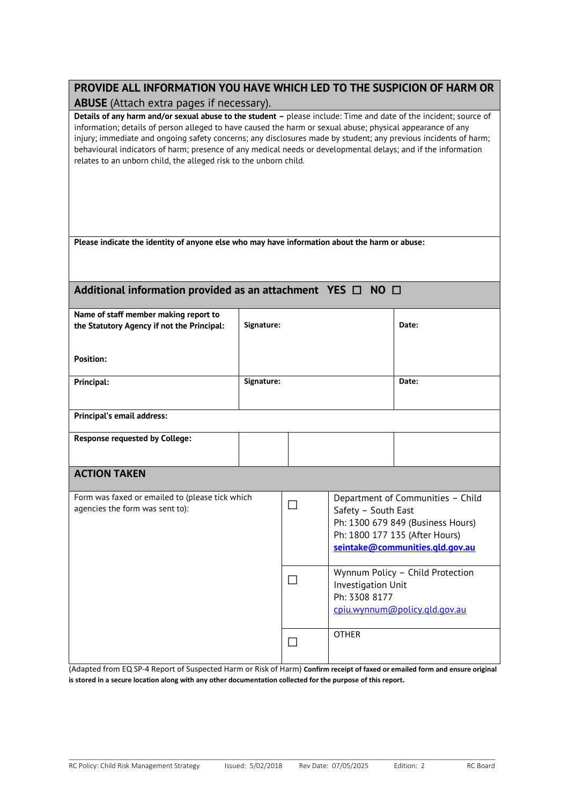| PROVIDE ALL INFORMATION YOU HAVE WHICH LED TO THE SUSPICION OF HARM OR |
|------------------------------------------------------------------------|
| <b>ABUSE</b> (Attach extra pages if necessary).                        |

**Details of any harm and/or sexual abuse to the student –** please include: Time and date of the incident; source of information; details of person alleged to have caused the harm or sexual abuse; physical appearance of any injury; immediate and ongoing safety concerns; any disclosures made by student; any previous incidents of harm; behavioural indicators of harm; presence of any medical needs or developmental delays; and if the information relates to an unborn child, the alleged risk to the unborn child.

#### **Additional information provided as an attachment YES** ☐ **NO** ☐

| Name of staff member making report to<br>the Statutory Agency if not the Principal: | Signature: |  | Date:                                                                                                                                                              |  |  |  |
|-------------------------------------------------------------------------------------|------------|--|--------------------------------------------------------------------------------------------------------------------------------------------------------------------|--|--|--|
| <b>Position:</b>                                                                    |            |  |                                                                                                                                                                    |  |  |  |
| Principal:                                                                          | Signature: |  | Date:                                                                                                                                                              |  |  |  |
| Principal's email address:                                                          |            |  |                                                                                                                                                                    |  |  |  |
| <b>Response requested by College:</b>                                               |            |  |                                                                                                                                                                    |  |  |  |
| <b>ACTION TAKEN</b>                                                                 |            |  |                                                                                                                                                                    |  |  |  |
| Form was faxed or emailed to (please tick which<br>agencies the form was sent to):  |            |  | Department of Communities - Child<br>Safety - South East<br>Ph: 1300 679 849 (Business Hours)<br>Ph: 1800 177 135 (After Hours)<br>seintake@communities.gld.gov.au |  |  |  |
|                                                                                     |            |  | Wynnum Policy - Child Protection<br>Investigation Unit<br>Ph: 3308 8177<br>cpiu.wynnum@policy.gld.gov.au                                                           |  |  |  |
|                                                                                     |            |  | <b>OTHER</b>                                                                                                                                                       |  |  |  |

(Adapted from EQ SP-4 Report of Suspected Harm or Risk of Harm) **Confirm receipt of faxed or emailed form and ensure original is stored in a secure location along with any other documentation collected for the purpose of this report.**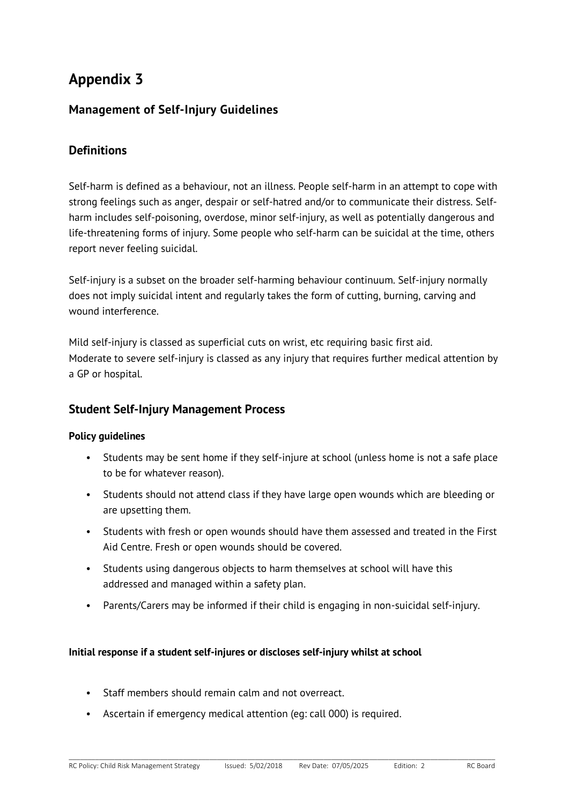## **Appendix 3**

## **Management of Self-Injury Guidelines**

## **Definitions**

Self-harm is defined as a behaviour, not an illness. People self-harm in an attempt to cope with strong feelings such as anger, despair or self-hatred and/or to communicate their distress. Selfharm includes self-poisoning, overdose, minor self-injury, as well as potentially dangerous and life-threatening forms of injury. Some people who self-harm can be suicidal at the time, others report never feeling suicidal.

Self-injury is a subset on the broader self-harming behaviour continuum. Self-injury normally does not imply suicidal intent and regularly takes the form of cutting, burning, carving and wound interference.

Mild self-injury is classed as superficial cuts on wrist, etc requiring basic first aid. Moderate to severe self-injury is classed as any injury that requires further medical attention by a GP or hospital.

### **Student Self-Injury Management Process**

#### **Policy guidelines**

- Students may be sent home if they self-injure at school (unless home is not a safe place to be for whatever reason).
- Students should not attend class if they have large open wounds which are bleeding or are upsetting them.
- Students with fresh or open wounds should have them assessed and treated in the First Aid Centre. Fresh or open wounds should be covered.
- Students using dangerous objects to harm themselves at school will have this addressed and managed within a safety plan.
- Parents/Carers may be informed if their child is engaging in non-suicidal self-injury.

\_\_\_\_\_\_\_\_\_\_\_\_\_\_\_\_\_\_\_\_\_\_\_\_\_\_\_\_\_\_\_\_\_\_\_\_\_\_\_\_\_\_\_\_\_\_\_\_\_\_\_\_\_\_\_\_\_\_\_\_\_\_\_\_\_\_\_\_\_\_\_\_\_\_\_\_\_\_\_\_\_\_\_\_\_\_\_\_\_\_\_\_\_\_\_\_\_\_\_\_\_\_\_\_\_\_\_\_\_\_\_\_

#### **Initial response if a student self-injures or discloses self-injury whilst at school**

- Staff members should remain calm and not overreact.
- Ascertain if emergency medical attention (eg: call 000) is required.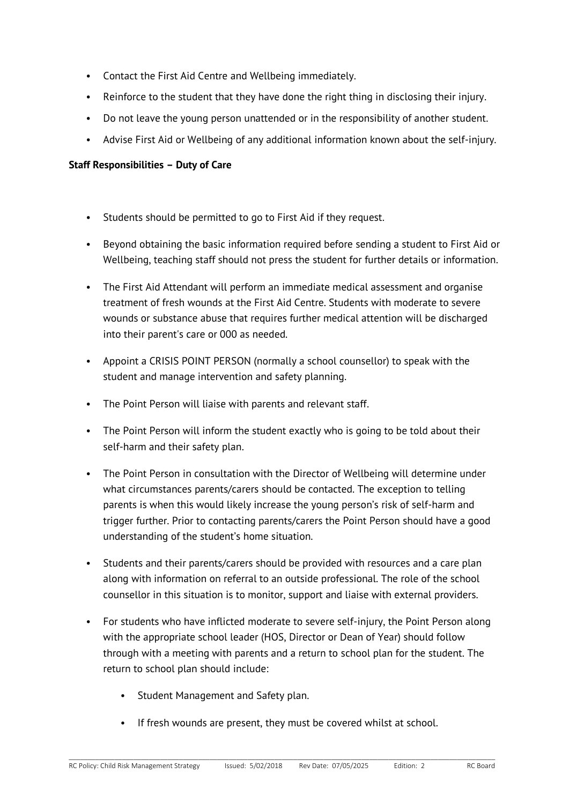- Contact the First Aid Centre and Wellbeing immediately.
- Reinforce to the student that they have done the right thing in disclosing their injury.
- Do not leave the young person unattended or in the responsibility of another student.
- Advise First Aid or Wellbeing of any additional information known about the self-injury.

#### **Staff Responsibilities – Duty of Care**

- Students should be permitted to go to First Aid if they request.
- Beyond obtaining the basic information required before sending a student to First Aid or Wellbeing, teaching staff should not press the student for further details or information.
- The First Aid Attendant will perform an immediate medical assessment and organise treatment of fresh wounds at the First Aid Centre. Students with moderate to severe wounds or substance abuse that requires further medical attention will be discharged into their parent's care or 000 as needed.
- Appoint a CRISIS POINT PERSON (normally a school counsellor) to speak with the student and manage intervention and safety planning.
- The Point Person will liaise with parents and relevant staff.
- The Point Person will inform the student exactly who is going to be told about their self-harm and their safety plan.
- The Point Person in consultation with the Director of Wellbeing will determine under what circumstances parents/carers should be contacted. The exception to telling parents is when this would likely increase the young person's risk of self-harm and trigger further. Prior to contacting parents/carers the Point Person should have a good understanding of the student's home situation.
- Students and their parents/carers should be provided with resources and a care plan along with information on referral to an outside professional. The role of the school counsellor in this situation is to monitor, support and liaise with external providers.
- For students who have inflicted moderate to severe self-injury, the Point Person along with the appropriate school leader (HOS, Director or Dean of Year) should follow through with a meeting with parents and a return to school plan for the student. The return to school plan should include:
	- Student Management and Safety plan.
	- If fresh wounds are present, they must be covered whilst at school.